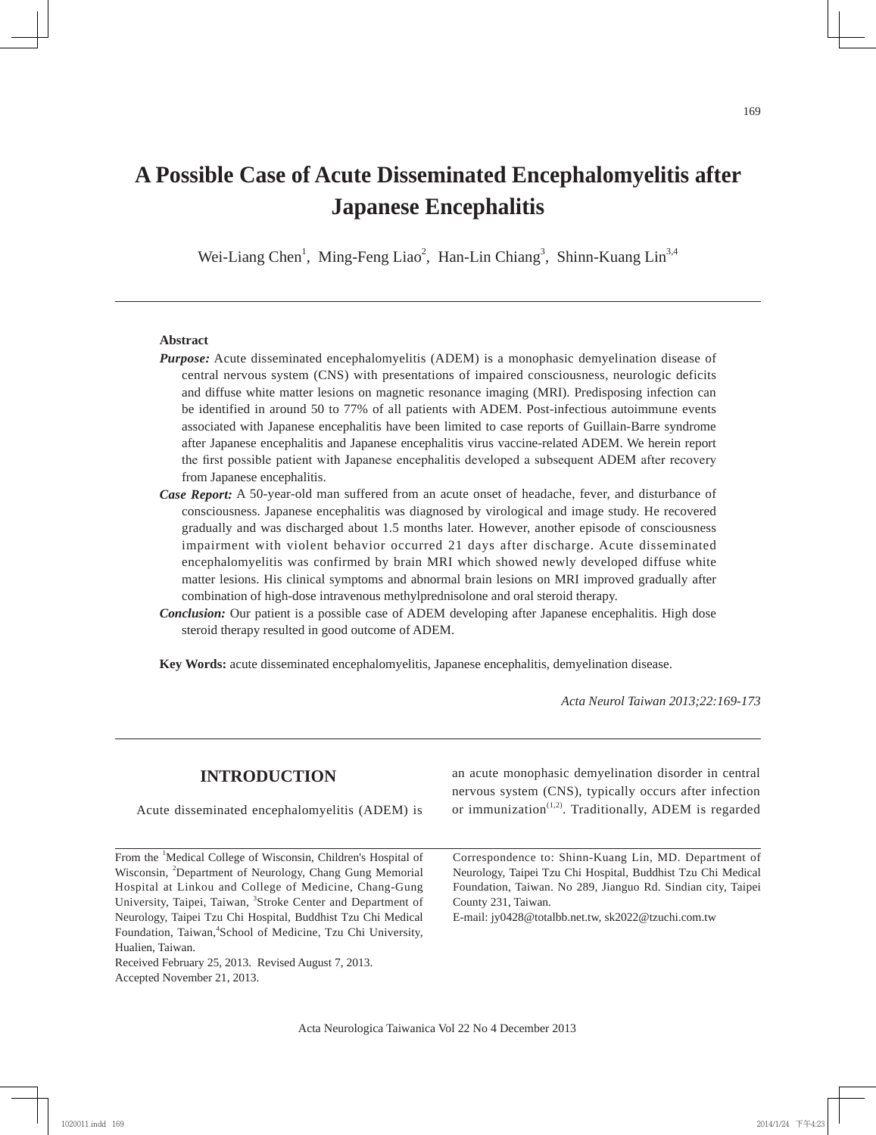# **A Possible Case of Acute Disseminated Encephalomyelitis after Japanese Encephalitis**

Wei-Liang Chen<sup>1</sup>, Ming-Feng Liao<sup>2</sup>, Han-Lin Chiang<sup>3</sup>, Shinn-Kuang Lin<sup>3,4</sup>

#### **Abstract**

- *Purpose:* Acute disseminated encephalomyelitis (ADEM) is a monophasic demyelination disease of central nervous system (CNS) with presentations of impaired consciousness, neurologic deficits and diffuse white matter lesions on magnetic resonance imaging (MRI). Predisposing infection can be identified in around 50 to 77% of all patients with ADEM. Post-infectious autoimmune events associated with Japanese encephalitis have been limited to case reports of Guillain-Barre syndrome after Japanese encephalitis and Japanese encephalitis virus vaccine-related ADEM. We herein report the first possible patient with Japanese encephalitis developed a subsequent ADEM after recovery from Japanese encephalitis.
- *Case Report:* A 50-year-old man suffered from an acute onset of headache, fever, and disturbance of consciousness. Japanese encephalitis was diagnosed by virological and image study. He recovered gradually and was discharged about 1.5 months later. However, another episode of consciousness impairment with violent behavior occurred 21 days after discharge. Acute disseminated encephalomyelitis was confirmed by brain MRI which showed newly developed diffuse white matter lesions. His clinical symptoms and abnormal brain lesions on MRI improved gradually after combination of high-dose intravenous methylprednisolone and oral steroid therapy.
- *Conclusion:* Our patient is a possible case of ADEM developing after Japanese encephalitis. High dose steroid therapy resulted in good outcome of ADEM.

**Key Words:** acute disseminated encephalomyelitis, Japanese encephalitis, demyelination disease.

*Acta Neurol Taiwan 2013;22:169-173*

| <b>INTRODUCTION</b>                                                                                                                    | an acute monophasic demyelination disorder in central<br>nervous system (CNS), typically occurs after infection       |  |
|----------------------------------------------------------------------------------------------------------------------------------------|-----------------------------------------------------------------------------------------------------------------------|--|
| Acute disseminated encephalomyelitis (ADEM) is                                                                                         | or immunization <sup><math>(1,2)</math></sup> . Traditionally, ADEM is regarded                                       |  |
|                                                                                                                                        |                                                                                                                       |  |
| From the 'Medical College of Wisconsin, Children's Hospital of<br>Wisconsin, <sup>2</sup> Department of Neurology, Chang Gung Memorial | Correspondence to: Shinn-Kuang Lin, MD. Department of<br>Neurology, Taipei Tzu Chi Hospital, Buddhist Tzu Chi Medical |  |
|                                                                                                                                        | Foundation, Taiwan. No 289, Jianguo Rd. Sindian city, Taipei                                                          |  |
| Hospital at Linkou and College of Medicine, Chang-Gung<br>University, Taipei, Taiwan, <sup>3</sup> Stroke Center and Department of     |                                                                                                                       |  |
|                                                                                                                                        | County 231, Taiwan.                                                                                                   |  |
| Neurology, Taipei Tzu Chi Hospital, Buddhist Tzu Chi Medical                                                                           | E-mail: jy0428@totalbb.net.tw, sk2022@tzuchi.com.tw                                                                   |  |
| Foundation, Taiwan, <sup>4</sup> School of Medicine, Tzu Chi University,                                                               |                                                                                                                       |  |
| Hualien, Taiwan.                                                                                                                       |                                                                                                                       |  |
| Received February 25, 2013. Revised August 7, 2013.                                                                                    |                                                                                                                       |  |
| Accepted November 21, 2013.                                                                                                            |                                                                                                                       |  |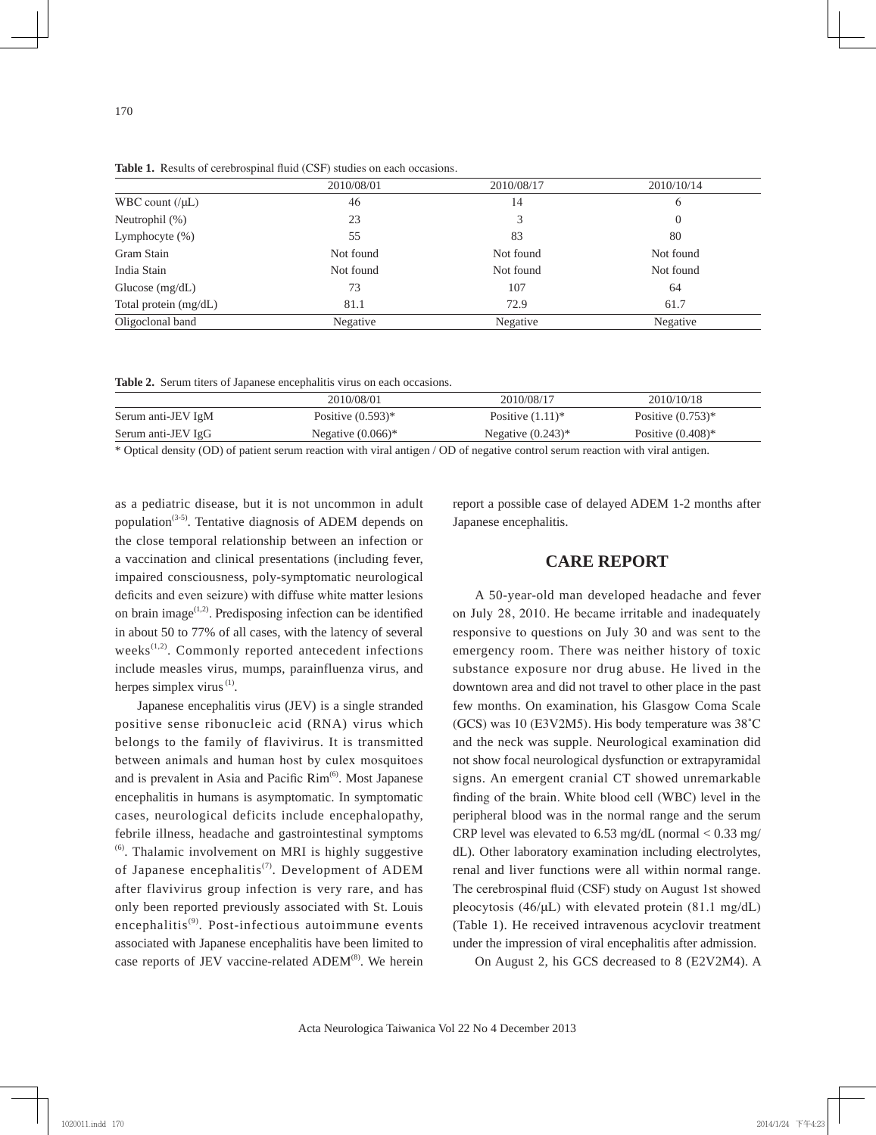|                       | 2010/08/01 | 2010/08/17 | 2010/10/14 |
|-----------------------|------------|------------|------------|
| WBC count $(\mu L)$   | 46         | 14         | 6          |
| Neutrophil $(\%)$     | 23         |            | $\theta$   |
| Lymphocyte $(\%)$     | 55         | 83         | 80         |
| Gram Stain            | Not found  | Not found  | Not found  |
| India Stain           | Not found  | Not found  | Not found  |
| Glucose $(mg/dL)$     | 73         | 107        | 64         |
| Total protein (mg/dL) | 81.1       | 72.9       | 61.7       |
| Oligoclonal band      | Negative   | Negative   | Negative   |

**Table 1.** Results of cerebrospinal fluid (CSF) studies on each occasions.

**Table 2.** Serum titers of Japanese encephalitis virus on each occasions.

|                    | 2010/08/01           | 2010/08/17           | 2010/10/18                      |
|--------------------|----------------------|----------------------|---------------------------------|
| Serum anti-JEV IgM | Positive $(0.593)$ * | Positive $(1.11)^*$  | Positive $(0.753)$ *            |
| Serum anti-JEV IgG | Negative $(0.066)^*$ | Negative $(0.243)$ * | Positive $(0.408)$ <sup>*</sup> |

\* Optical density (OD) of patient serum reaction with viral antigen / OD of negative control serum reaction with viral antigen.

as a pediatric disease, but it is not uncommon in adult population<sup> $(3-5)$ </sup>. Tentative diagnosis of ADEM depends on the close temporal relationship between an infection or a vaccination and clinical presentations (including fever, impaired consciousness, poly-symptomatic neurological deficits and even seizure) with diffuse white matter lesions on brain image $^{(1,2)}$ . Predisposing infection can be identified in about 50 to 77% of all cases, with the latency of several weeks $^{(1,2)}$ . Commonly reported antecedent infections include measles virus, mumps, parainfluenza virus, and herpes simplex virus<sup>(1)</sup>.

Japanese encephalitis virus (JEV) is a single stranded positive sense ribonucleic acid (RNA) virus which belongs to the family of flavivirus. It is transmitted between animals and human host by culex mosquitoes and is prevalent in Asia and Pacific  $\text{Rim}^{(6)}$ . Most Japanese encephalitis in humans is asymptomatic. In symptomatic cases, neurological deficits include encephalopathy, febrile illness, headache and gastrointestinal symptoms  $<sup>(6)</sup>$ . Thalamic involvement on MRI is highly suggestive</sup> of Japanese encephalitis<sup>(7)</sup>. Development of ADEM after flavivirus group infection is very rare, and has only been reported previously associated with St. Louis encephalitis<sup>(9)</sup>. Post-infectious autoimmune events associated with Japanese encephalitis have been limited to case reports of JEV vaccine-related ADEM<sup>(8)</sup>. We herein

report a possible case of delayed ADEM 1-2 months after Japanese encephalitis.

#### **CARE REPORT**

A 50-year-old man developed headache and fever on July 28, 2010. He became irritable and inadequately responsive to questions on July 30 and was sent to the emergency room. There was neither history of toxic substance exposure nor drug abuse. He lived in the downtown area and did not travel to other place in the past few months. On examination, his Glasgow Coma Scale (GCS) was 10 (E3V2M5). His body temperature was 38˚C and the neck was supple. Neurological examination did not show focal neurological dysfunction or extrapyramidal signs. An emergent cranial CT showed unremarkable finding of the brain. White blood cell (WBC) level in the peripheral blood was in the normal range and the serum CRP level was elevated to  $6.53 \text{ mg/dL}$  (normal  $< 0.33 \text{ mg}$ ) dL). Other laboratory examination including electrolytes, renal and liver functions were all within normal range. The cerebrospinal fluid (CSF) study on August 1st showed pleocytosis  $(46/\mu L)$  with elevated protein  $(81.1 \text{ mg/d}L)$ (Table 1). He received intravenous acyclovir treatment under the impression of viral encephalitis after admission.

On August 2, his GCS decreased to 8 (E2V2M4). A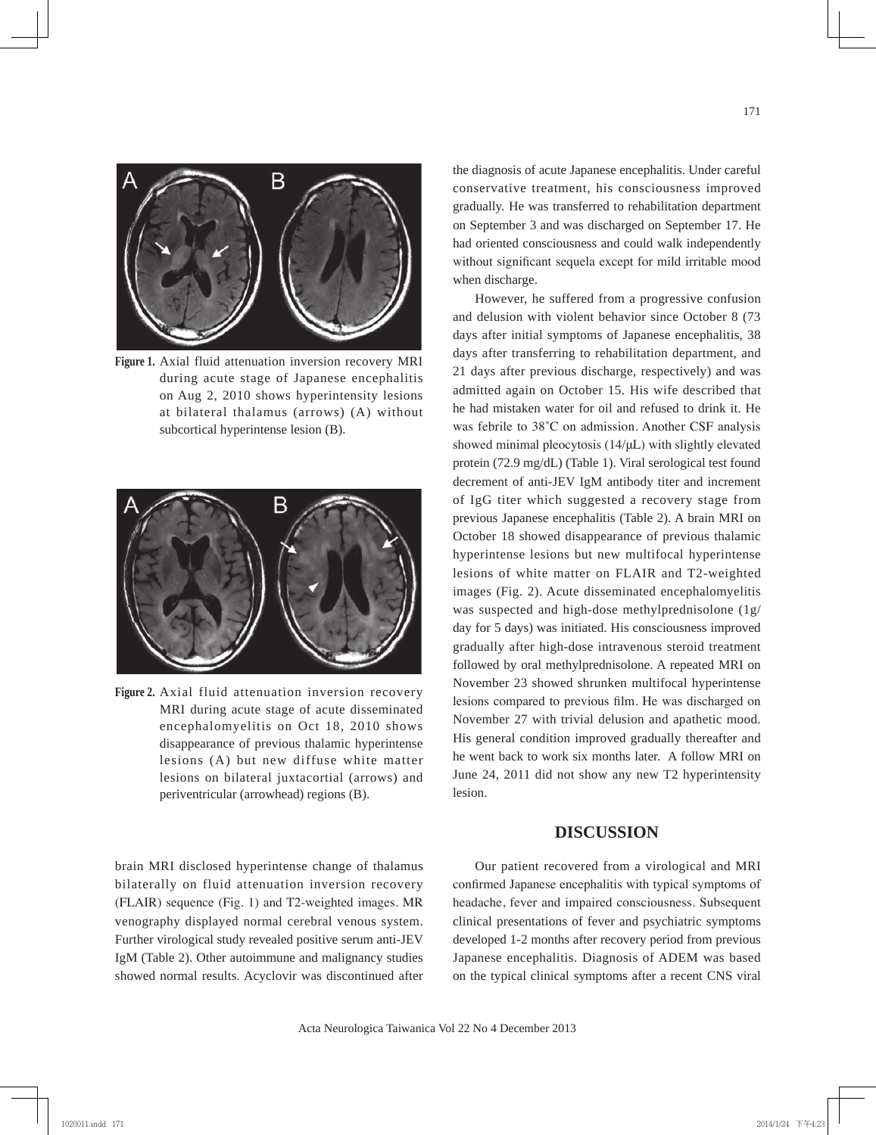

**Figure 1.** Axial fluid attenuation inversion recovery MRI during acute stage of Japanese encephalitis on Aug 2, 2010 shows hyperintensity lesions at bilateral thalamus (arrows) (A) without subcortical hyperintense lesion (B).



**Figure 2.** Axial fluid attenuation inversion recovery MRI during acute stage of acute disseminated encephalomyelitis on Oct 18, 2010 shows disappearance of previous thalamic hyperintense lesions (A) but new diffuse white matter lesions on bilateral juxtacortial (arrows) and periventricular (arrowhead) regions (B).

brain MRI disclosed hyperintense change of thalamus bilaterally on fluid attenuation inversion recovery (FLAIR) sequence (Fig. 1) and T2-weighted images. MR venography displayed normal cerebral venous system. Further virological study revealed positive serum anti-JEV IgM (Table 2). Other autoimmune and malignancy studies showed normal results. Acyclovir was discontinued after

the diagnosis of acute Japanese encephalitis. Under careful conservative treatment, his consciousness improved gradually. He was transferred to rehabilitation department on September 3 and was discharged on September 17. He had oriented consciousness and could walk independently without significant sequela except for mild irritable mood when discharge.

However, he suffered from a progressive confusion and delusion with violent behavior since October 8 (73 days after initial symptoms of Japanese encephalitis, 38 days after transferring to rehabilitation department, and 21 days after previous discharge, respectively) and was admitted again on October 15. His wife described that he had mistaken water for oil and refused to drink it. He was febrile to 38˚C on admission. Another CSF analysis showed minimal pleocytosis (14/μL) with slightly elevated protein (72.9 mg/dL) (Table 1). Viral serological test found decrement of anti-JEV IgM antibody titer and increment of IgG titer which suggested a recovery stage from previous Japanese encephalitis (Table 2). A brain MRI on October 18 showed disappearance of previous thalamic hyperintense lesions but new multifocal hyperintense lesions of white matter on FLAIR and T2-weighted images (Fig. 2). Acute disseminated encephalomyelitis was suspected and high-dose methylprednisolone (1g/ day for 5 days) was initiated. His consciousness improved gradually after high-dose intravenous steroid treatment followed by oral methylprednisolone. A repeated MRI on November 23 showed shrunken multifocal hyperintense lesions compared to previous film. He was discharged on November 27 with trivial delusion and apathetic mood. His general condition improved gradually thereafter and he went back to work six months later. A follow MRI on June 24, 2011 did not show any new T2 hyperintensity lesion.

## **DISCUSSION**

Our patient recovered from a virological and MRI confirmed Japanese encephalitis with typical symptoms of headache, fever and impaired consciousness. Subsequent clinical presentations of fever and psychiatric symptoms developed 1-2 months after recovery period from previous Japanese encephalitis. Diagnosis of ADEM was based on the typical clinical symptoms after a recent CNS viral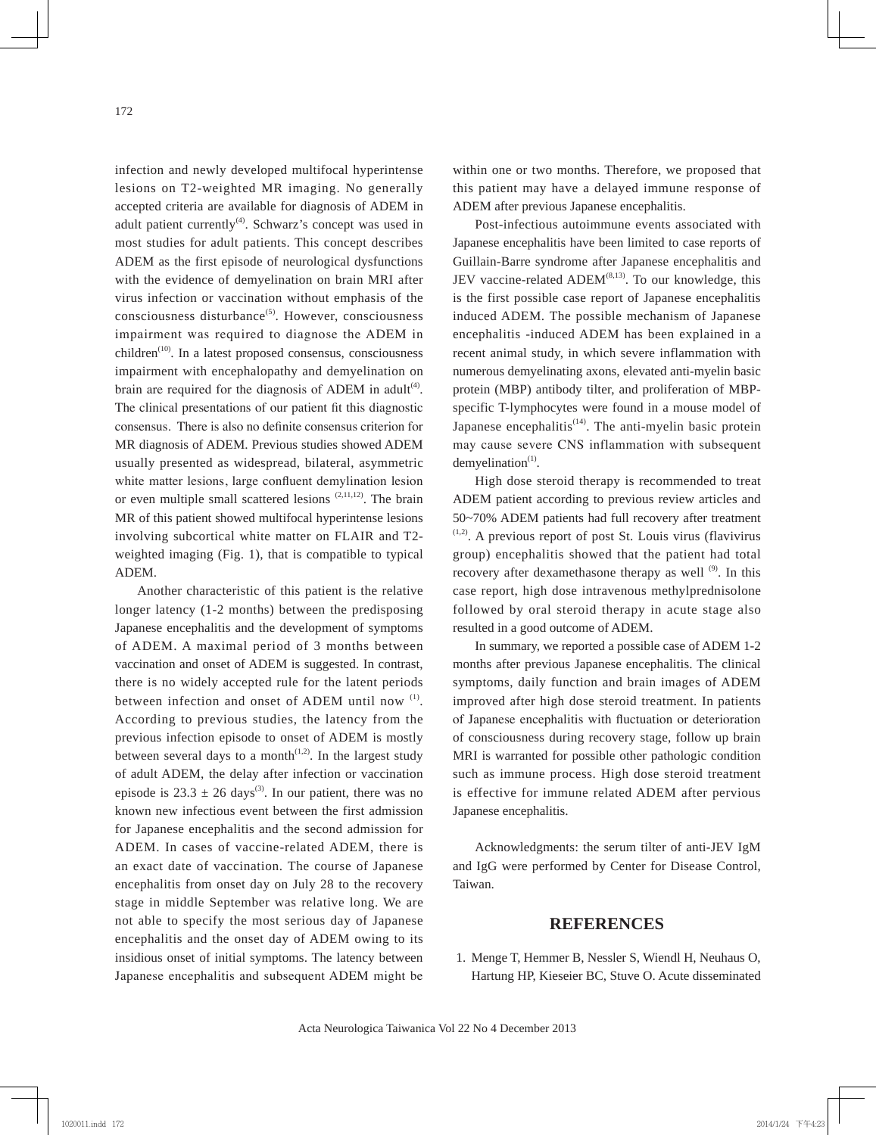infection and newly developed multifocal hyperintense lesions on T2-weighted MR imaging. No generally accepted criteria are available for diagnosis of ADEM in adult patient currently<sup>(4)</sup>. Schwarz's concept was used in most studies for adult patients. This concept describes ADEM as the first episode of neurological dysfunctions with the evidence of demyelination on brain MRI after virus infection or vaccination without emphasis of the  $consciousness$  disturbance<sup> $(5)$ </sup>. However, consciousness impairment was required to diagnose the ADEM in children<sup>(10)</sup>. In a latest proposed consensus, consciousness impairment with encephalopathy and demyelination on brain are required for the diagnosis of ADEM in adult<sup>(4)</sup>. The clinical presentations of our patient fit this diagnostic consensus. There is also no definite consensus criterion for MR diagnosis of ADEM. Previous studies showed ADEM usually presented as widespread, bilateral, asymmetric white matter lesions, large confluent demylination lesion or even multiple small scattered lesions  $(2,11,12)$ . The brain MR of this patient showed multifocal hyperintense lesions involving subcortical white matter on FLAIR and T2 weighted imaging (Fig. 1), that is compatible to typical ADEM.

Another characteristic of this patient is the relative longer latency (1-2 months) between the predisposing Japanese encephalitis and the development of symptoms of ADEM. A maximal period of 3 months between vaccination and onset of ADEM is suggested. In contrast, there is no widely accepted rule for the latent periods between infection and onset of ADEM until now  $(1)$ . According to previous studies, the latency from the previous infection episode to onset of ADEM is mostly between several days to a month<sup> $(1,2)$ </sup>. In the largest study of adult ADEM, the delay after infection or vaccination episode is  $23.3 \pm 26$  days<sup>(3)</sup>. In our patient, there was no known new infectious event between the first admission for Japanese encephalitis and the second admission for ADEM. In cases of vaccine-related ADEM, there is an exact date of vaccination. The course of Japanese encephalitis from onset day on July 28 to the recovery stage in middle September was relative long. We are not able to specify the most serious day of Japanese encephalitis and the onset day of ADEM owing to its insidious onset of initial symptoms. The latency between Japanese encephalitis and subsequent ADEM might be

within one or two months. Therefore, we proposed that this patient may have a delayed immune response of ADEM after previous Japanese encephalitis.

Post-infectious autoimmune events associated with Japanese encephalitis have been limited to case reports of Guillain-Barre syndrome after Japanese encephalitis and JEV vaccine-related  $ADEM^{(8,13)}$ . To our knowledge, this is the first possible case report of Japanese encephalitis induced ADEM. The possible mechanism of Japanese encephalitis -induced ADEM has been explained in a recent animal study, in which severe inflammation with numerous demyelinating axons, elevated anti-myelin basic protein (MBP) antibody tilter, and proliferation of MBPspecific T-lymphocytes were found in a mouse model of Japanese encephalitis<sup> $(14)$ </sup>. The anti-myelin basic protein may cause severe CNS inflammation with subsequent  $d$ emyelination<sup> $(1)$ </sup>.

High dose steroid therapy is recommended to treat ADEM patient according to previous review articles and 50~70% ADEM patients had full recovery after treatment  $(1,2)$ . A previous report of post St. Louis virus (flavivirus) group) encephalitis showed that the patient had total recovery after dexamethasone therapy as well  $^{(9)}$ . In this case report, high dose intravenous methylprednisolone followed by oral steroid therapy in acute stage also resulted in a good outcome of ADEM.

In summary, we reported a possible case of ADEM 1-2 months after previous Japanese encephalitis. The clinical symptoms, daily function and brain images of ADEM improved after high dose steroid treatment. In patients of Japanese encephalitis with fluctuation or deterioration of consciousness during recovery stage, follow up brain MRI is warranted for possible other pathologic condition such as immune process. High dose steroid treatment is effective for immune related ADEM after pervious Japanese encephalitis.

Acknowledgments: the serum tilter of anti-JEV IgM and IgG were performed by Center for Disease Control, Taiwan.

### **REFERENCES**

 1. Menge T, Hemmer B, Nessler S, Wiendl H, Neuhaus O, Hartung HP, Kieseier BC, Stuve O. Acute disseminated